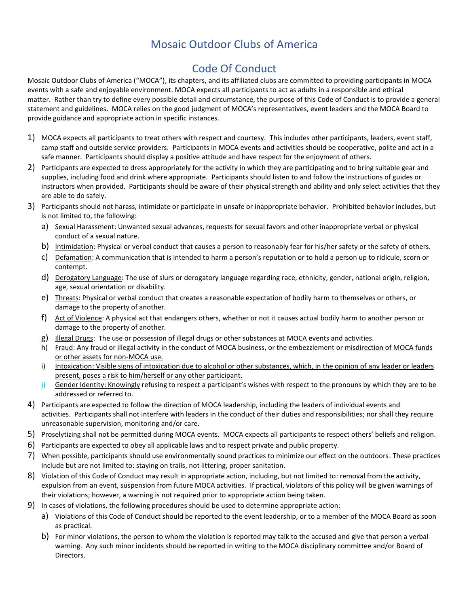# Mosaic Outdoor Clubs of America

# Code Of Conduct

Mosaic Outdoor Clubs of America ("MOCA"), its chapters, and its affiliated clubs are committed to providing participants in MOCA events with a safe and enjoyable environment. MOCA expects all participants to act as adults in a responsible and ethical matter. Rather than try to define every possible detail and circumstance, the purpose of this Code of Conduct is to provide a general statement and guidelines. MOCA relies on the good judgment of MOCA's representatives, event leaders and the MOCA Board to provide guidance and appropriate action in specific instances.

- 1) MOCA expects all participants to treat others with respect and courtesy. This includes other participants, leaders, event staff, camp staff and outside service providers. Participants in MOCA events and activities should be cooperative, polite and act in a safe manner. Participants should display a positive attitude and have respect for the enjoyment of others.
- 2) Participants are expected to dress appropriately for the activity in which they are participating and to bring suitable gear and supplies, including food and drink where appropriate. Participants should listen to and follow the instructions of guides or instructors when provided. Participants should be aware of their physical strength and ability and only select activities that they are able to do safely.
- 3) Participants should not harass, intimidate or participate in unsafe or inappropriate behavior. Prohibited behavior includes, but is not limited to, the following:
	- a) Sexual Harassment: Unwanted sexual advances, requests for sexual favors and other inappropriate verbal or physical conduct of a sexual nature.
	- b) Intimidation: Physical or verbal conduct that causes a person to reasonably fear for his/her safety or the safety of others.
	- c) Defamation: A communication that is intended to harm a person's reputation or to hold a person up to ridicule, scorn or contempt.
	- d) Derogatory Language: The use of slurs or derogatory language regarding race, ethnicity, gender, national origin, religion, age, sexual orientation or disability.
	- e) Threats: Physical or verbal conduct that creates a reasonable expectation of bodily harm to themselves or others, or damage to the property of another.
	- f) Act of Violence: A physical act that endangers others, whether or not it causes actual bodily harm to another person or damage to the property of another.
	- g) Illegal Drugs: The use or possession of illegal drugs or other substances at MOCA events and activities.
	- h) Fraud: Any fraud or illegal activity in the conduct of MOCA business, or the embezzlement or misdirection of MOCA funds or other assets for non-MOCA use.
	- i) Intoxication: Visible signs of intoxication due to alcohol or other substances, which, in the opinion of any leader or leaders present, poses a risk to him/herself or any other participant.
	- j) Gender Identity: Knowingly refusing to respect a participant's wishes with respect to the pronouns by which they are to be addressed or referred to.
- 4) Participants are expected to follow the direction of MOCA leadership, including the leaders of individual events and activities. Participants shall not interfere with leaders in the conduct of their duties and responsibilities; nor shall they require unreasonable supervision, monitoring and/or care.
- 5) Proselytizing shall not be permitted during MOCA events. MOCA expects all participants to respect others' beliefs and religion.
- 6) Participants are expected to obey all applicable laws and to respect private and public property.
- 7) When possible, participants should use environmentally sound practices to minimize our effect on the outdoors. These practices include but are not limited to: staying on trails, not littering, proper sanitation.
- 8) Violation of this Code of Conduct may result in appropriate action, including, but not limited to: removal from the activity, expulsion from an event, suspension from future MOCA activities. If practical, violators of this policy will be given warnings of their violations; however, a warning is not required prior to appropriate action being taken.
- 9) In cases of violations, the following procedures should be used to determine appropriate action:
	- a) Violations of this Code of Conduct should be reported to the event leadership, or to a member of the MOCA Board as soon as practical.
	- b) For minor violations, the person to whom the violation is reported may talk to the accused and give that person a verbal warning. Any such minor incidents should be reported in writing to the MOCA disciplinary committee and/or Board of Directors.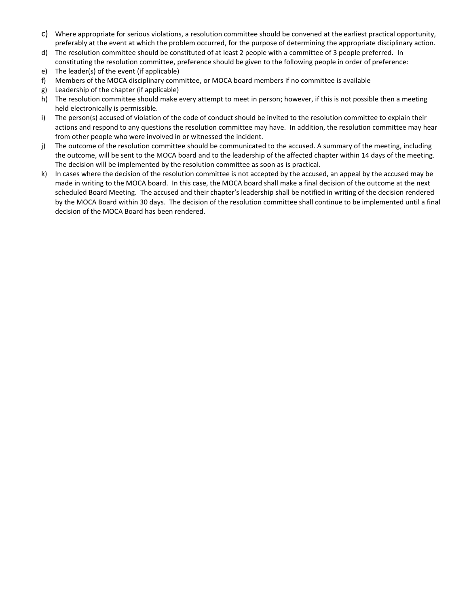- c) Where appropriate for serious violations, a resolution committee should be convened at the earliest practical opportunity, preferably at the event at which the problem occurred, for the purpose of determining the appropriate disciplinary action.
- d) The resolution committee should be constituted of at least 2 people with a committee of 3 people preferred. In constituting the resolution committee, preference should be given to the following people in order of preference:
- e) The leader(s) of the event (if applicable)
- f) Members of the MOCA disciplinary committee, or MOCA board members if no committee is available
- g) Leadership of the chapter (if applicable)
- h) The resolution committee should make every attempt to meet in person; however, if this is not possible then a meeting held electronically is permissible.
- i) The person(s) accused of violation of the code of conduct should be invited to the resolution committee to explain their actions and respond to any questions the resolution committee may have. In addition, the resolution committee may hear from other people who were involved in or witnessed the incident.
- j) The outcome of the resolution committee should be communicated to the accused. A summary of the meeting, including the outcome, will be sent to the MOCA board and to the leadership of the affected chapter within 14 days of the meeting. The decision will be implemented by the resolution committee as soon as is practical.
- k) In cases where the decision of the resolution committee is not accepted by the accused, an appeal by the accused may be made in writing to the MOCA board. In this case, the MOCA board shall make a final decision of the outcome at the next scheduled Board Meeting. The accused and their chapter's leadership shall be notified in writing of the decision rendered by the MOCA Board within 30 days. The decision of the resolution committee shall continue to be implemented until a final decision of the MOCA Board has been rendered.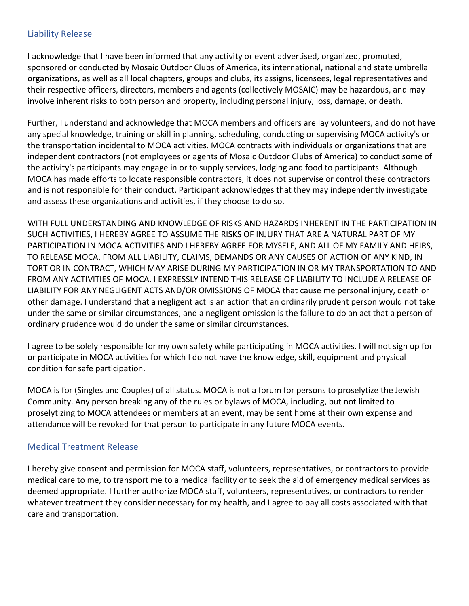## Liability Release

I acknowledge that I have been informed that any activity or event advertised, organized, promoted, sponsored or conducted by Mosaic Outdoor Clubs of America, its international, national and state umbrella organizations, as well as all local chapters, groups and clubs, its assigns, licensees, legal representatives and their respective officers, directors, members and agents (collectively MOSAIC) may be hazardous, and may involve inherent risks to both person and property, including personal injury, loss, damage, or death.

Further, I understand and acknowledge that MOCA members and officers are lay volunteers, and do not have any special knowledge, training or skill in planning, scheduling, conducting or supervising MOCA activity's or the transportation incidental to MOCA activities. MOCA contracts with individuals or organizations that are independent contractors (not employees or agents of Mosaic Outdoor Clubs of America) to conduct some of the activity's participants may engage in or to supply services, lodging and food to participants. Although MOCA has made efforts to locate responsible contractors, it does not supervise or control these contractors and is not responsible for their conduct. Participant acknowledges that they may independently investigate and assess these organizations and activities, if they choose to do so.

WITH FULL UNDERSTANDING AND KNOWLEDGE OF RISKS AND HAZARDS INHERENT IN THE PARTICIPATION IN SUCH ACTIVITIES, I HEREBY AGREE TO ASSUME THE RISKS OF INJURY THAT ARE A NATURAL PART OF MY PARTICIPATION IN MOCA ACTIVITIES AND I HEREBY AGREE FOR MYSELF, AND ALL OF MY FAMILY AND HEIRS, TO RELEASE MOCA, FROM ALL LIABILITY, CLAIMS, DEMANDS OR ANY CAUSES OF ACTION OF ANY KIND, IN TORT OR IN CONTRACT, WHICH MAY ARISE DURING MY PARTICIPATION IN OR MY TRANSPORTATION TO AND FROM ANY ACTIVITIES OF MOCA. I EXPRESSLY INTEND THIS RELEASE OF LIABILITY TO INCLUDE A RELEASE OF LIABILITY FOR ANY NEGLIGENT ACTS AND/OR OMISSIONS OF MOCA that cause me personal injury, death or other damage. I understand that a negligent act is an action that an ordinarily prudent person would not take under the same or similar circumstances, and a negligent omission is the failure to do an act that a person of ordinary prudence would do under the same or similar circumstances.

I agree to be solely responsible for my own safety while participating in MOCA activities. I will not sign up for or participate in MOCA activities for which I do not have the knowledge, skill, equipment and physical condition for safe participation.

MOCA is for (Singles and Couples) of all status. MOCA is not a forum for persons to proselytize the Jewish Community. Any person breaking any of the rules or bylaws of MOCA, including, but not limited to proselytizing to MOCA attendees or members at an event, may be sent home at their own expense and attendance will be revoked for that person to participate in any future MOCA events.

#### Medical Treatment Release

I hereby give consent and permission for MOCA staff, volunteers, representatives, or contractors to provide medical care to me, to transport me to a medical facility or to seek the aid of emergency medical services as deemed appropriate. I further authorize MOCA staff, volunteers, representatives, or contractors to render whatever treatment they consider necessary for my health, and I agree to pay all costs associated with that care and transportation.